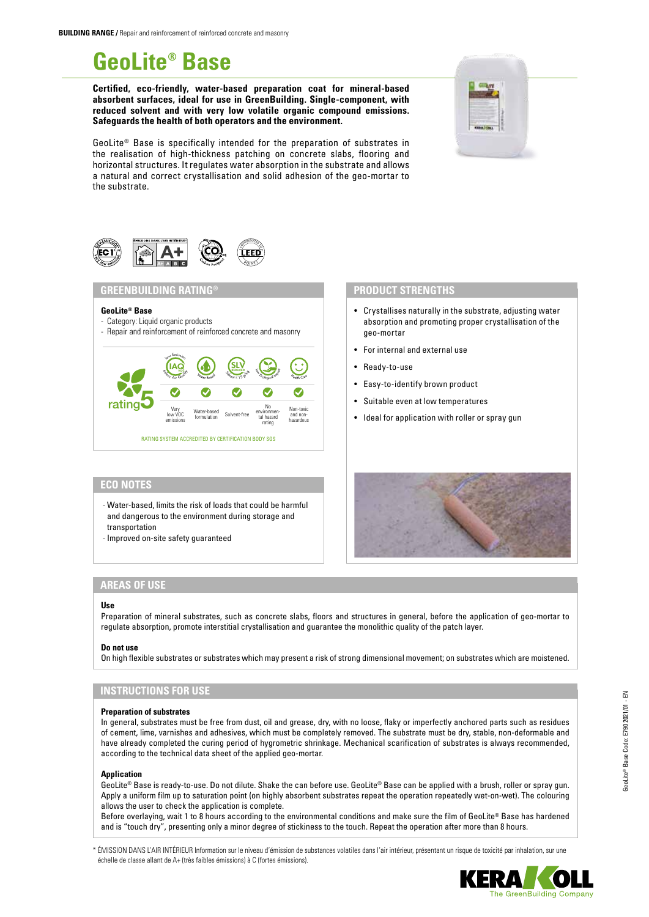# **GeoLite® Base**

**Certified, eco-friendly, water-based preparation coat for mineral-based absorbent surfaces, ideal for use in GreenBuilding. Single-component, with reduced solvent and with very low volatile organic compound emissions. Safeguards the health of both operators and the environment.**

GeoLite® Base is specifically intended for the preparation of substrates in the realisation of high-thickness patching on concrete slabs, flooring and horizontal structures. It regulates water absorption in the substrate and allows a natural and correct crystallisation and solid adhesion of the geo-mortar to the substrate.



## **GREENBUILDING RATING®**

### **GeoLite® Base**

- Category: Liquid organic products
- Repair and reinforcement of reinforced concrete and masonry



# **ECO NOTES**

- Water-based, limits the risk of loads that could be harmful and dangerous to the environment during storage and transportation
- Improved on-site safety guaranteed

# **AREAS OF USE**

### **Use**

Preparation of mineral substrates, such as concrete slabs, floors and structures in general, before the application of geo-mortar to regulate absorption, promote interstitial crystallisation and guarantee the monolithic quality of the patch layer.

## **Do not use**

On high flexible substrates or substrates which may present a risk of strong dimensional movement; on substrates which are moistened.

# **INSTRUCTIONS FOR USE**

## **Preparation of substrates**

In general, substrates must be free from dust, oil and grease, dry, with no loose, flaky or imperfectly anchored parts such as residues of cement, lime, varnishes and adhesives, which must be completely removed. The substrate must be dry, stable, non-deformable and have already completed the curing period of hygrometric shrinkage. Mechanical scarification of substrates is always recommended, according to the technical data sheet of the applied geo-mortar.

### **Application**

GeoLite® Base is ready-to-use. Do not dilute. Shake the can before use. GeoLite® Base can be applied with a brush, roller or spray gun. Apply a uniform film up to saturation point (on highly absorbent substrates repeat the operation repeatedly wet-on-wet). The colouring allows the user to check the application is complete.

Before overlaying, wait 1 to 8 hours according to the environmental conditions and make sure the film of GeoLite® Base has hardened and is "touch dry", presenting only a minor degree of stickiness to the touch. Repeat the operation after more than 8 hours.

\* ÉMISSION DANS L'AIR INTÉRIEUR Information sur le niveau d'émission de substances volatiles dans l'air intérieur, présentant un risque de toxicité par inhalation, sur une échelle de classe allant de A+ (très faibles émissions) à C (fortes émissions).









• Crystallises naturally in the substrate, adjusting water absorption and promoting proper crystallisation of the

geo-mortar

• Ready-to-use

• For internal and external use

**PRODUCT STRENGTHS**

• Easy-to-identify brown product • Suitable even at low temperatures

• Ideal for application with roller or spray gun